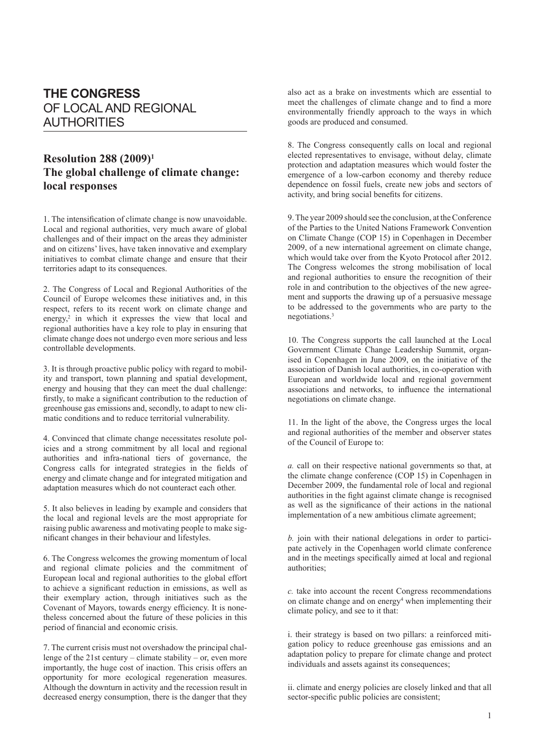## **THE CONGRESS** OF LOCAL AND REGIONAL AUTHORITIES

## **Resolution 288 (2009)1 The global challenge of climate change: local responses**

1. The intensification of climate change is now unavoidable. Local and regional authorities, very much aware of global challenges and of their impact on the areas they administer and on citizens' lives, have taken innovative and exemplary initiatives to combat climate change and ensure that their territories adapt to its consequences.

2. The Congress of Local and Regional Authorities of the Council of Europe welcomes these initiatives and, in this respect, refers to its recent work on climate change and energy,<sup>2</sup> in which it expresses the view that local and regional authorities have a key role to play in ensuring that climate change does not undergo even more serious and less controllable developments.

3. It is through proactive public policy with regard to mobility and transport, town planning and spatial development, energy and housing that they can meet the dual challenge: firstly, to make a significant contribution to the reduction of greenhouse gas emissions and, secondly, to adapt to new climatic conditions and to reduce territorial vulnerability.

4. Convinced that climate change necessitates resolute policies and a strong commitment by all local and regional authorities and infra-national tiers of governance, the Congress calls for integrated strategies in the fields of energy and climate change and for integrated mitigation and adaptation measures which do not counteract each other.

5. It also believes in leading by example and considers that the local and regional levels are the most appropriate for raising public awareness and motivating people to make significant changes in their behaviour and lifestyles.

6. The Congress welcomes the growing momentum of local and regional climate policies and the commitment of European local and regional authorities to the global effort to achieve a significant reduction in emissions, as well as their exemplary action, through initiatives such as the Covenant of Mayors, towards energy efficiency. It is nonetheless concerned about the future of these policies in this period of financial and economic crisis.

7. The current crisis must not overshadow the principal challenge of the 21st century – climate stability – or, even more importantly, the huge cost of inaction. This crisis offers an opportunity for more ecological regeneration measures. Although the downturn in activity and the recession result in decreased energy consumption, there is the danger that they

also act as a brake on investments which are essential to meet the challenges of climate change and to find a more environmentally friendly approach to the ways in which goods are produced and consumed.

8. The Congress consequently calls on local and regional elected representatives to envisage, without delay, climate protection and adaptation measures which would foster the emergence of a low-carbon economy and thereby reduce dependence on fossil fuels, create new jobs and sectors of activity, and bring social benefits for citizens.

9. The year 2009 should see the conclusion, at the Conference of the Parties to the United Nations Framework Convention on Climate Change (COP 15) in Copenhagen in December 2009, of a new international agreement on climate change, which would take over from the Kyoto Protocol after 2012. The Congress welcomes the strong mobilisation of local and regional authorities to ensure the recognition of their role in and contribution to the objectives of the new agreement and supports the drawing up of a persuasive message to be addressed to the governments who are party to the negotiations.<sup>3</sup>

10. The Congress supports the call launched at the Local Government Climate Change Leadership Summit, organised in Copenhagen in June 2009, on the initiative of the association of Danish local authorities, in co-operation with European and worldwide local and regional government associations and networks, to influence the international negotiations on climate change.

11. In the light of the above, the Congress urges the local and regional authorities of the member and observer states of the Council of Europe to:

*a.* call on their respective national governments so that, at the climate change conference (COP 15) in Copenhagen in December 2009, the fundamental role of local and regional authorities in the fight against climate change is recognised as well as the significance of their actions in the national implementation of a new ambitious climate agreement;

*b.* join with their national delegations in order to participate actively in the Copenhagen world climate conference and in the meetings specifically aimed at local and regional authorities;

*c.* take into account the recent Congress recommendations on climate change and on energy<sup>4</sup> when implementing their climate policy, and see to it that:

i. their strategy is based on two pillars: a reinforced mitigation policy to reduce greenhouse gas emissions and an adaptation policy to prepare for climate change and protect individuals and assets against its consequences;

ii. climate and energy policies are closely linked and that all sector-specific public policies are consistent;